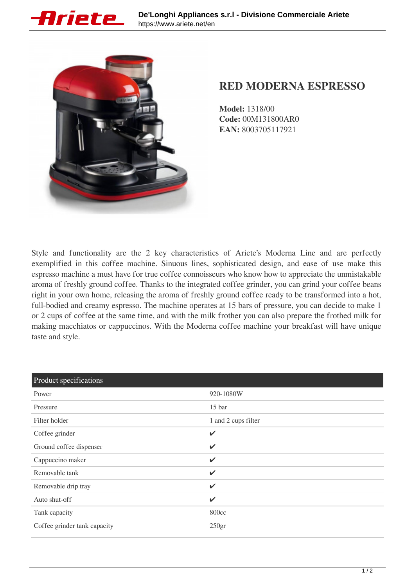



## **RED MODERNA ESPRESSO**

**Model:** 1318/00 **Code:** 00M131800AR0 **EAN:** 8003705117921

Style and functionality are the 2 key characteristics of Ariete's Moderna Line and are perfectly exemplified in this coffee machine. Sinuous lines, sophisticated design, and ease of use make this espresso machine a must have for true coffee connoisseurs who know how to appreciate the unmistakable aroma of freshly ground coffee. Thanks to the integrated coffee grinder, you can grind your coffee beans right in your own home, releasing the aroma of freshly ground coffee ready to be transformed into a hot, full-bodied and creamy espresso. The machine operates at 15 bars of pressure, you can decide to make 1 or 2 cups of coffee at the same time, and with the milk frother you can also prepare the frothed milk for making macchiatos or cappuccinos. With the Moderna coffee machine your breakfast will have unique taste and style.

| Product specifications       |                     |
|------------------------------|---------------------|
| Power                        | 920-1080W           |
| Pressure                     | 15 <sub>bar</sub>   |
| Filter holder                | 1 and 2 cups filter |
| Coffee grinder               | $\checkmark$        |
| Ground coffee dispenser      | $\checkmark$        |
| Cappuccino maker             | $\checkmark$        |
| Removable tank               | $\checkmark$        |
| Removable drip tray          | V                   |
| Auto shut-off                | V                   |
| Tank capacity                | 800cc               |
| Coffee grinder tank capacity | 250 <sub>gr</sub>   |